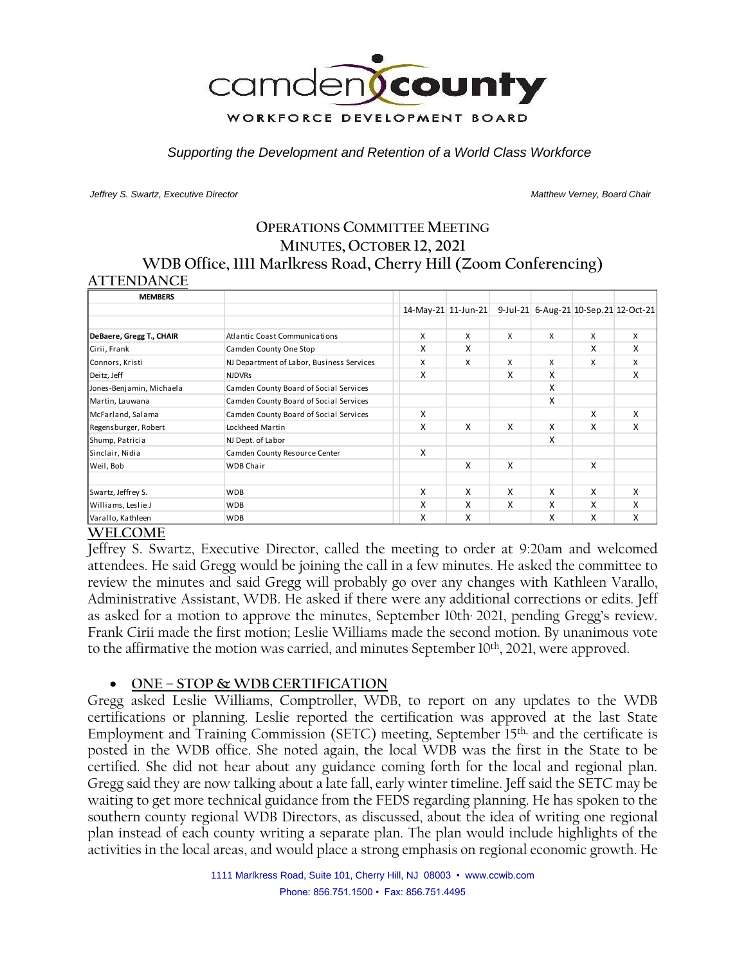

*Supporting the Development and Retention of a World Class Workforce*

*Jeffrey S. Swartz, Executive Director Matthew Verney, Board Chair* 

### **OPERATIONS COMMITTEE MEETING MINUTES, OCTOBER 12, 2021 WDB Office, 1111 Marlkress Road, Cherry Hill (Zoom Conferencing) ATTENDANCE**

| <b>MEMBERS</b>           |                                           |   |                     |   |   |   |                                       |
|--------------------------|-------------------------------------------|---|---------------------|---|---|---|---------------------------------------|
|                          |                                           |   | 14-May-21 11-Jun-21 |   |   |   | 9-Jul-21 6-Aug-21 10-Sep.21 12-Oct-21 |
|                          |                                           |   |                     |   |   |   |                                       |
| DeBaere, Gregg T., CHAIR | <b>Atlantic Coast Communications</b>      | X | $\mathsf{x}$        | X | X | X | X                                     |
| Cirii, Frank             | Camden County One Stop                    | x | x                   |   |   | X | X                                     |
| Connors, Kristi          | NJ Department of Labor, Business Services | X | X                   | X | X | X | X                                     |
| Deitz, Jeff              | <b>NJDVRs</b>                             | X |                     | Χ | x |   | X                                     |
| Jones-Benjamin, Michaela | Camden County Board of Social Services    |   |                     |   | x |   |                                       |
| Martin, Lauwana          | Camden County Board of Social Services    |   |                     |   | X |   |                                       |
| McFarland, Salama        | Camden County Board of Social Services    | x |                     |   |   | X | X                                     |
| Regensburger, Robert     | Lockheed Martin                           | x | X                   | X | X | X | X                                     |
| Shump, Patricia          | NJ Dept. of Labor                         |   |                     |   | X |   |                                       |
| Sinclair, Nidia          | Camden County Resource Center             | x |                     |   |   |   |                                       |
| Weil, Bob                | <b>WDB Chair</b>                          |   | x                   | X |   | X |                                       |
| Swartz, Jeffrey S.       | <b>WDB</b>                                | x | X                   | x | X | X | X                                     |
| Williams, Leslie J       | <b>WDB</b>                                | x | X                   | x | x | X | X                                     |
| Varallo, Kathleen        | <b>WDB</b>                                | X | x                   |   | x | X | X                                     |

#### **WELCOME**

Jeffrey S. Swartz, Executive Director, called the meeting to order at 9:20am and welcomed attendees. He said Gregg would be joining the call in a few minutes. He asked the committee to review the minutes and said Gregg will probably go over any changes with Kathleen Varallo, Administrative Assistant, WDB. He asked if there were any additional corrections or edits. Jeff as asked for a motion to approve the minutes, September 10th, 2021, pending Gregg's review. Frank Cirii made the first motion; Leslie Williams made the second motion. By unanimous vote to the affirmative the motion was carried, and minutes September 10<sup>th</sup>, 2021, were approved.

#### • **ONE – STOP & WDB CERTIFICATION**

Gregg asked Leslie Williams, Comptroller, WDB, to report on any updates to the WDB certifications or planning. Leslie reported the certification was approved at the last State Employment and Training Commission (SETC) meeting, September 15th, and the certificate is posted in the WDB office. She noted again, the local WDB was the first in the State to be certified. She did not hear about any guidance coming forth for the local and regional plan. Gregg said they are now talking about a late fall, early winter timeline. Jeff said the SETC may be waiting to get more technical guidance from the FEDS regarding planning. He has spoken to the southern county regional WDB Directors, as discussed, about the idea of writing one regional plan instead of each county writing a separate plan. The plan would include highlights of the activities in the local areas, and would place a strong emphasis on regional economic growth. He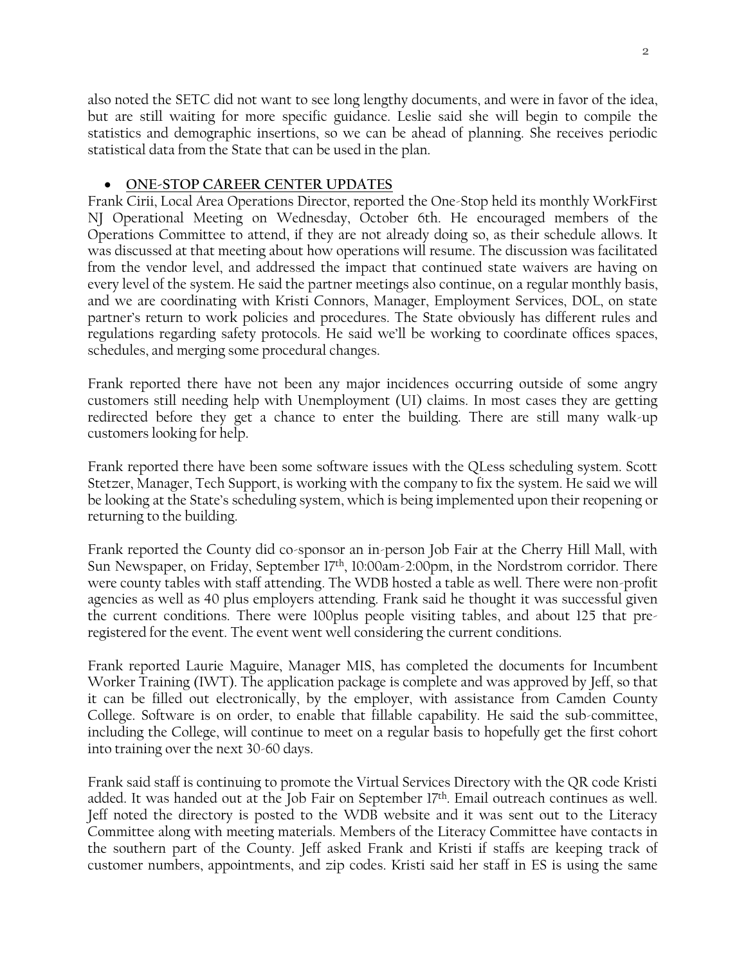also noted the SETC did not want to see long lengthy documents, and were in favor of the idea, but are still waiting for more specific guidance. Leslie said she will begin to compile the statistics and demographic insertions, so we can be ahead of planning. She receives periodic statistical data from the State that can be used in the plan.

#### • **ONE-STOP CAREER CENTER UPDATES**

Frank Cirii, Local Area Operations Director, reported the One-Stop held its monthly WorkFirst NJ Operational Meeting on Wednesday, October 6th. He encouraged members of the Operations Committee to attend, if they are not already doing so, as their schedule allows. It was discussed at that meeting about how operations will resume. The discussion was facilitated from the vendor level, and addressed the impact that continued state waivers are having on every level of the system. He said the partner meetings also continue, on a regular monthly basis, and we are coordinating with Kristi Connors, Manager, Employment Services, DOL, on state partner's return to work policies and procedures. The State obviously has different rules and regulations regarding safety protocols. He said we'll be working to coordinate offices spaces, schedules, and merging some procedural changes.

Frank reported there have not been any major incidences occurring outside of some angry customers still needing help with Unemployment (UI) claims. In most cases they are getting redirected before they get a chance to enter the building. There are still many walk-up customers looking for help.

Frank reported there have been some software issues with the QLess scheduling system. Scott Stetzer, Manager, Tech Support, is working with the company to fix the system. He said we will be looking at the State's scheduling system, which is being implemented upon their reopening or returning to the building.

Frank reported the County did co-sponsor an in-person Job Fair at the Cherry Hill Mall, with Sun Newspaper, on Friday, September  $17<sup>th</sup>$ , 10:00am-2:00pm, in the Nordstrom corridor. There were county tables with staff attending. The WDB hosted a table as well. There were non-profit agencies as well as 40 plus employers attending. Frank said he thought it was successful given the current conditions. There were 100plus people visiting tables, and about 125 that preregistered for the event. The event went well considering the current conditions.

Frank reported Laurie Maguire, Manager MIS, has completed the documents for Incumbent Worker Training (IWT). The application package is complete and was approved by Jeff, so that it can be filled out electronically, by the employer, with assistance from Camden County College. Software is on order, to enable that fillable capability. He said the sub-committee, including the College, will continue to meet on a regular basis to hopefully get the first cohort into training over the next 30-60 days.

Frank said staff is continuing to promote the Virtual Services Directory with the QR code Kristi added. It was handed out at the Job Fair on September 17th. Email outreach continues as well. Jeff noted the directory is posted to the WDB website and it was sent out to the Literacy Committee along with meeting materials. Members of the Literacy Committee have contacts in the southern part of the County. Jeff asked Frank and Kristi if staffs are keeping track of customer numbers, appointments, and zip codes. Kristi said her staff in ES is using the same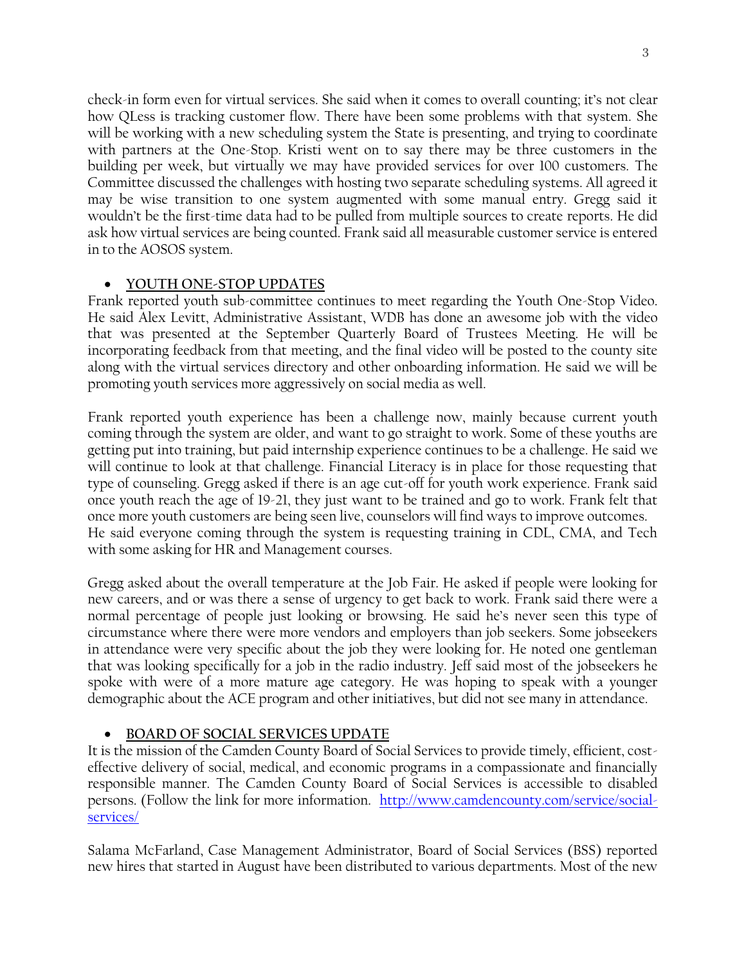check-in form even for virtual services. She said when it comes to overall counting; it's not clear how QLess is tracking customer flow. There have been some problems with that system. She will be working with a new scheduling system the State is presenting, and trying to coordinate with partners at the One-Stop. Kristi went on to say there may be three customers in the building per week, but virtually we may have provided services for over 100 customers. The Committee discussed the challenges with hosting two separate scheduling systems. All agreed it may be wise transition to one system augmented with some manual entry. Gregg said it wouldn't be the first-time data had to be pulled from multiple sources to create reports. He did ask how virtual services are being counted. Frank said all measurable customer service is entered in to the AOSOS system.

# • **YOUTH ONE-STOP UPDATES**

Frank reported youth sub-committee continues to meet regarding the Youth One-Stop Video. He said Alex Levitt, Administrative Assistant, WDB has done an awesome job with the video that was presented at the September Quarterly Board of Trustees Meeting. He will be incorporating feedback from that meeting, and the final video will be posted to the county site along with the virtual services directory and other onboarding information. He said we will be promoting youth services more aggressively on social media as well.

Frank reported youth experience has been a challenge now, mainly because current youth coming through the system are older, and want to go straight to work. Some of these youths are getting put into training, but paid internship experience continues to be a challenge. He said we will continue to look at that challenge. Financial Literacy is in place for those requesting that type of counseling. Gregg asked if there is an age cut-off for youth work experience. Frank said once youth reach the age of 19-21, they just want to be trained and go to work. Frank felt that once more youth customers are being seen live, counselors will find ways to improve outcomes. He said everyone coming through the system is requesting training in CDL, CMA, and Tech with some asking for HR and Management courses.

Gregg asked about the overall temperature at the Job Fair. He asked if people were looking for new careers, and or was there a sense of urgency to get back to work. Frank said there were a normal percentage of people just looking or browsing. He said he's never seen this type of circumstance where there were more vendors and employers than job seekers. Some jobseekers in attendance were very specific about the job they were looking for. He noted one gentleman that was looking specifically for a job in the radio industry. Jeff said most of the jobseekers he spoke with were of a more mature age category. He was hoping to speak with a younger demographic about the ACE program and other initiatives, but did not see many in attendance.

# • **BOARD OF SOCIAL SERVICES UPDATE**

It is the mission of the Camden County Board of Social Services to provide timely, efficient, costeffective delivery of social, medical, and economic programs in a compassionate and financially responsible manner. The Camden County Board of Social Services is accessible to disabled persons. (Follow the link for more information. [http://www.camdencounty.com/service/social](http://www.camdencounty.com/service/social-services/)[services/](http://www.camdencounty.com/service/social-services/)

Salama McFarland, Case Management Administrator, Board of Social Services (BSS) reported new hires that started in August have been distributed to various departments. Most of the new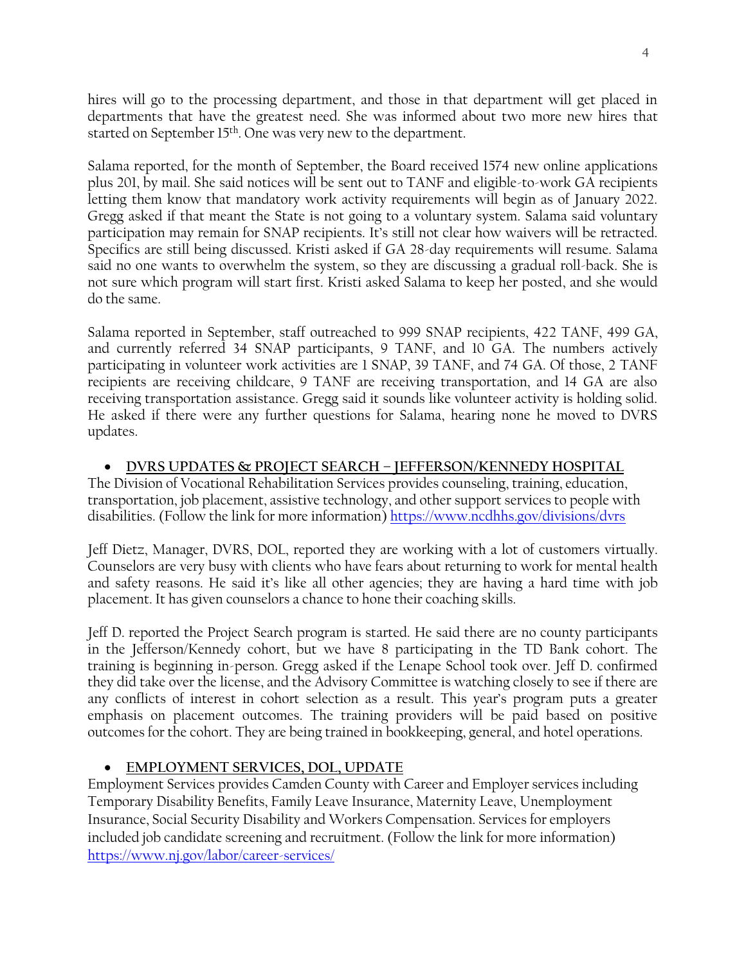hires will go to the processing department, and those in that department will get placed in departments that have the greatest need. She was informed about two more new hires that started on September 15<sup>th</sup>. One was very new to the department.

Salama reported, for the month of September, the Board received 1574 new online applications plus 201, by mail. She said notices will be sent out to TANF and eligible-to-work GA recipients letting them know that mandatory work activity requirements will begin as of January 2022. Gregg asked if that meant the State is not going to a voluntary system. Salama said voluntary participation may remain for SNAP recipients. It's still not clear how waivers will be retracted. Specifics are still being discussed. Kristi asked if GA 28-day requirements will resume. Salama said no one wants to overwhelm the system, so they are discussing a gradual roll-back. She is not sure which program will start first. Kristi asked Salama to keep her posted, and she would do the same.

Salama reported in September, staff outreached to 999 SNAP recipients, 422 TANF, 499 GA, and currently referred 34 SNAP participants, 9 TANF, and 10 GA. The numbers actively participating in volunteer work activities are 1 SNAP, 39 TANF, and 74 GA. Of those, 2 TANF recipients are receiving childcare, 9 TANF are receiving transportation, and 14 GA are also receiving transportation assistance. Gregg said it sounds like volunteer activity is holding solid. He asked if there were any further questions for Salama, hearing none he moved to DVRS updates.

### • **DVRS UPDATES & PROJECT SEARCH – JEFFERSON/KENNEDY HOSPITAL**

The Division of Vocational Rehabilitation Services provides counseling, training, education, transportation, job placement, assistive technology, and other support services to people with disabilities. (Follow the link for more information)<https://www.ncdhhs.gov/divisions/dvrs>

Jeff Dietz, Manager, DVRS, DOL, reported they are working with a lot of customers virtually. Counselors are very busy with clients who have fears about returning to work for mental health and safety reasons. He said it's like all other agencies; they are having a hard time with job placement. It has given counselors a chance to hone their coaching skills.

Jeff D. reported the Project Search program is started. He said there are no county participants in the Jefferson/Kennedy cohort, but we have 8 participating in the TD Bank cohort. The training is beginning in-person. Gregg asked if the Lenape School took over. Jeff D. confirmed they did take over the license, and the Advisory Committee is watching closely to see if there are any conflicts of interest in cohort selection as a result. This year's program puts a greater emphasis on placement outcomes. The training providers will be paid based on positive outcomes for the cohort. They are being trained in bookkeeping, general, and hotel operations.

# • **EMPLOYMENT SERVICES, DOL, UPDATE**

Employment Services provides Camden County with Career and Employer services including Temporary Disability Benefits, Family Leave Insurance, Maternity Leave, Unemployment Insurance, Social Security Disability and Workers Compensation. Services for employers included job candidate screening and recruitment. (Follow the link for more information) <https://www.nj.gov/labor/career-services/>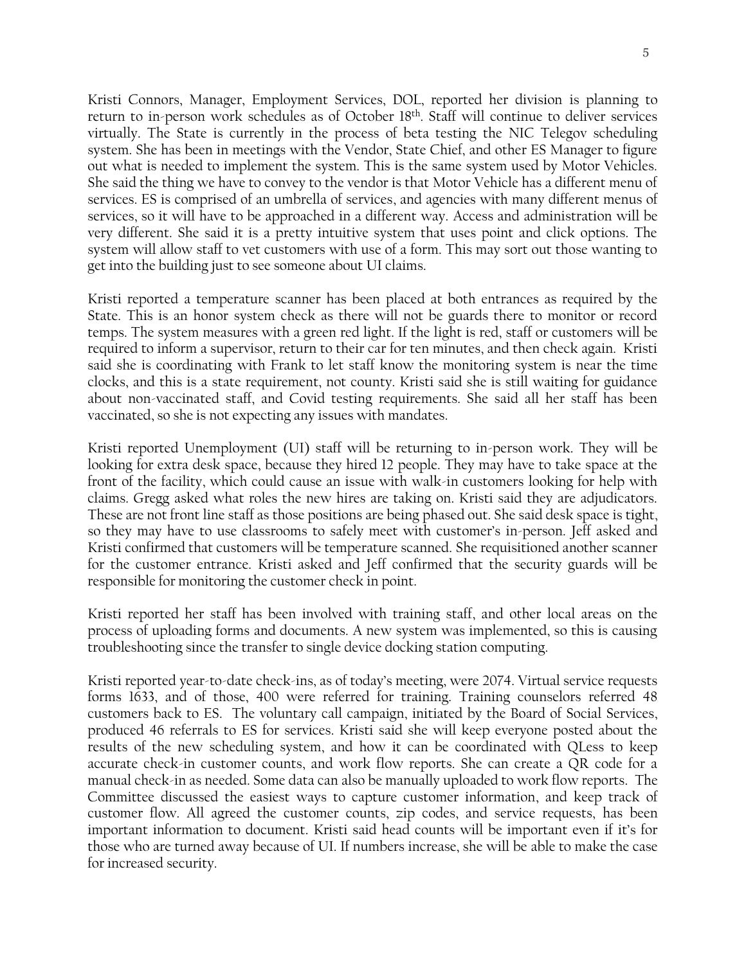Kristi Connors, Manager, Employment Services, DOL, reported her division is planning to return to in-person work schedules as of October 18th . Staff will continue to deliver services virtually. The State is currently in the process of beta testing the NIC Telegov scheduling system. She has been in meetings with the Vendor, State Chief, and other ES Manager to figure out what is needed to implement the system. This is the same system used by Motor Vehicles. She said the thing we have to convey to the vendor is that Motor Vehicle has a different menu of services. ES is comprised of an umbrella of services, and agencies with many different menus of services, so it will have to be approached in a different way. Access and administration will be very different. She said it is a pretty intuitive system that uses point and click options. The system will allow staff to vet customers with use of a form. This may sort out those wanting to get into the building just to see someone about UI claims.

Kristi reported a temperature scanner has been placed at both entrances as required by the State. This is an honor system check as there will not be guards there to monitor or record temps. The system measures with a green red light. If the light is red, staff or customers will be required to inform a supervisor, return to their car for ten minutes, and then check again. Kristi said she is coordinating with Frank to let staff know the monitoring system is near the time clocks, and this is a state requirement, not county. Kristi said she is still waiting for guidance about non-vaccinated staff, and Covid testing requirements. She said all her staff has been vaccinated, so she is not expecting any issues with mandates.

Kristi reported Unemployment (UI) staff will be returning to in-person work. They will be looking for extra desk space, because they hired 12 people. They may have to take space at the front of the facility, which could cause an issue with walk-in customers looking for help with claims. Gregg asked what roles the new hires are taking on. Kristi said they are adjudicators. These are not front line staff as those positions are being phased out. She said desk space is tight, so they may have to use classrooms to safely meet with customer's in-person. Jeff asked and Kristi confirmed that customers will be temperature scanned. She requisitioned another scanner for the customer entrance. Kristi asked and Jeff confirmed that the security guards will be responsible for monitoring the customer check in point.

Kristi reported her staff has been involved with training staff, and other local areas on the process of uploading forms and documents. A new system was implemented, so this is causing troubleshooting since the transfer to single device docking station computing.

Kristi reported year-to-date check-ins, as of today's meeting, were 2074. Virtual service requests forms 1633, and of those, 400 were referred for training. Training counselors referred 48 customers back to ES. The voluntary call campaign, initiated by the Board of Social Services, produced 46 referrals to ES for services. Kristi said she will keep everyone posted about the results of the new scheduling system, and how it can be coordinated with QLess to keep accurate check-in customer counts, and work flow reports. She can create a QR code for a manual check-in as needed. Some data can also be manually uploaded to work flow reports. The Committee discussed the easiest ways to capture customer information, and keep track of customer flow. All agreed the customer counts, zip codes, and service requests, has been important information to document. Kristi said head counts will be important even if it's for those who are turned away because of UI. If numbers increase, she will be able to make the case for increased security.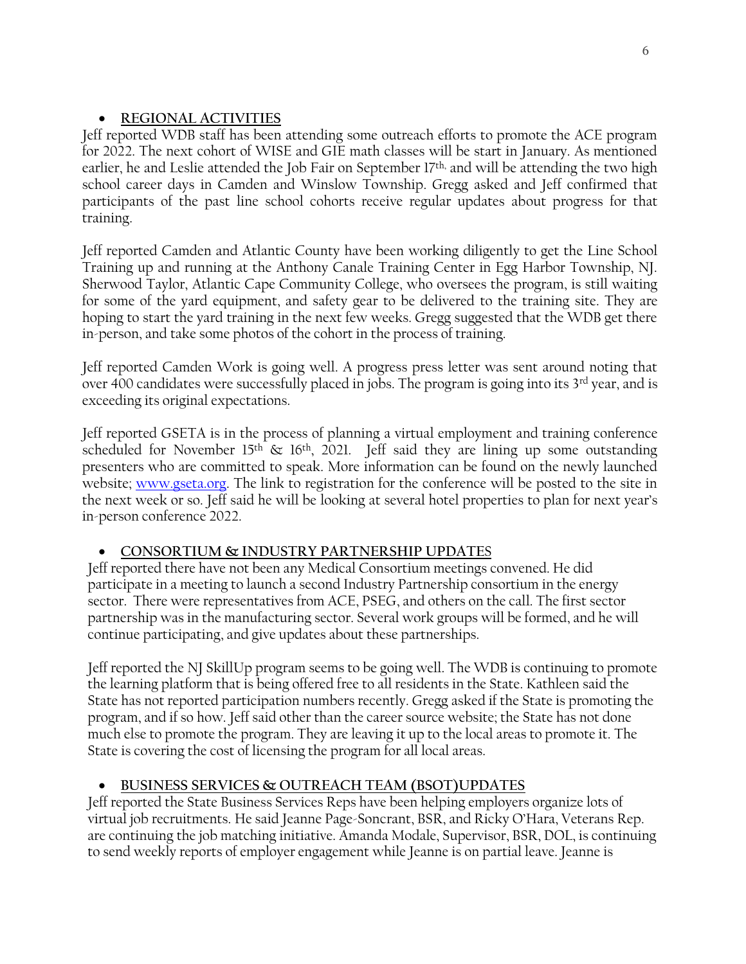# • **REGIONAL ACTIVITIES**

Jeff reported WDB staff has been attending some outreach efforts to promote the ACE program for 2022. The next cohort of WISE and GIE math classes will be start in January. As mentioned earlier, he and Leslie attended the Job Fair on September 17<sup>th,</sup> and will be attending the two high school career days in Camden and Winslow Township. Gregg asked and Jeff confirmed that participants of the past line school cohorts receive regular updates about progress for that training.

Jeff reported Camden and Atlantic County have been working diligently to get the Line School Training up and running at the Anthony Canale Training Center in Egg Harbor Township, NJ. Sherwood Taylor, Atlantic Cape Community College, who oversees the program, is still waiting for some of the yard equipment, and safety gear to be delivered to the training site. They are hoping to start the yard training in the next few weeks. Gregg suggested that the WDB get there in-person, and take some photos of the cohort in the process of training.

Jeff reported Camden Work is going well. A progress press letter was sent around noting that over 400 candidates were successfully placed in jobs. The program is going into its 3<sup>rd</sup> year, and is exceeding its original expectations.

Jeff reported GSETA is in the process of planning a virtual employment and training conference scheduled for November 15<sup>th</sup> & 16<sup>th</sup>, 2021. Jeff said they are lining up some outstanding presenters who are committed to speak. More information can be found on the newly launched website; [www.gseta.org.](http://www.gseta.org/) The link to registration for the conference will be posted to the site in the next week or so. Jeff said he will be looking at several hotel properties to plan for next year's in-person conference 2022.

# • **CONSORTIUM & INDUSTRY PARTNERSHIP UPDATE**S

Jeff reported there have not been any Medical Consortium meetings convened. He did participate in a meeting to launch a second Industry Partnership consortium in the energy sector. There were representatives from ACE, PSEG, and others on the call. The first sector partnership was in the manufacturing sector. Several work groups will be formed, and he will continue participating, and give updates about these partnerships.

Jeff reported the NJ SkillUp program seems to be going well. The WDB is continuing to promote the learning platform that is being offered free to all residents in the State. Kathleen said the State has not reported participation numbers recently. Gregg asked if the State is promoting the program, and if so how. Jeff said other than the career source website; the State has not done much else to promote the program. They are leaving it up to the local areas to promote it. The State is covering the cost of licensing the program for all local areas.

# • **BUSINESS SERVICES & OUTREACH TEAM (BSOT)UPDATES**

Jeff reported the State Business Services Reps have been helping employers organize lots of virtual job recruitments. He said Jeanne Page-Soncrant, BSR, and Ricky O'Hara, Veterans Rep. are continuing the job matching initiative. Amanda Modale, Supervisor, BSR, DOL, is continuing to send weekly reports of employer engagement while Jeanne is on partial leave. Jeanne is